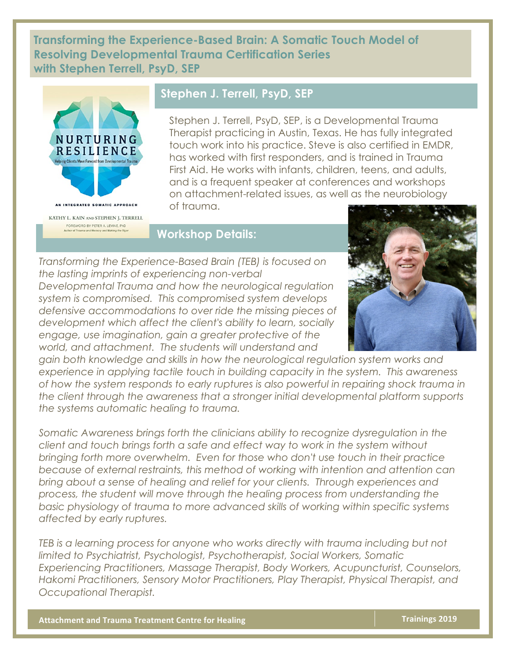**Transforming the Experience-Based Brain: A Somatic Touch Model of Resolving Developmental Trauma Certification Series with Stephen Terrell, PsyD, SEP**



## **Stephen J. Terrell, PsyD, SEP**

Stephen J. Terrell, PsyD, SEP, is a Developmental Trauma Therapist practicing in Austin, Texas. He has fully integrated touch work into his practice. Steve is also certified in EMDR, has worked with first responders, and is trained in Trauma First Aid. He works with infants, children, teens, and adults, and is a frequent speaker at conferences and workshops on attachment-related issues, as well as the neurobiology of trauma.

## **Workshop Details:**

*Transforming the Experience-Based Brain (TEB) is focused on the lasting imprints of experiencing non-verbal Developmental Trauma and how the neurological regulation system is compromised. This compromised system develops defensive accommodations to over ride the missing pieces of development which affect the client's ability to learn, socially engage, use imagination, gain a greater protective of the world, and attachment. The students will understand and* 



*gain both knowledge and skills in how the neurological regulation system works and experience in applying tactile touch in building capacity in the system. This awareness of how the system responds to early ruptures is also powerful in repairing shock trauma in the client through the awareness that a stronger initial developmental platform supports the systems automatic healing to trauma.*

pring about a sense of healing and feller for your clients. Through experiences and<br>process, the student will move through the healing process from understanding the *Somatic Awareness brings forth the clinicians ability to recognize dysregulation in the client and touch brings forth a safe and effect way to work in the system without bringing forth more overwhelm. Even for those who don't use touch in their practice because of external restraints, this method of working with intention and attention can bring about a sense of healing and relief for your clients. Through experiences and basic physiology of trauma to more advanced skills of working within specific systems affected by early ruptures.*

*TEB is a learning process for anyone who works directly with trauma including but not limited to Psychiatrist, Psychologist, Psychotherapist, Social Workers, Somatic Experiencing Practitioners, Massage Therapist, Body Workers, Acupuncturist, Counselors, Hakomi Practitioners, Sensory Motor Practitioners, Play Therapist, Physical Therapist, and Occupational Therapist.*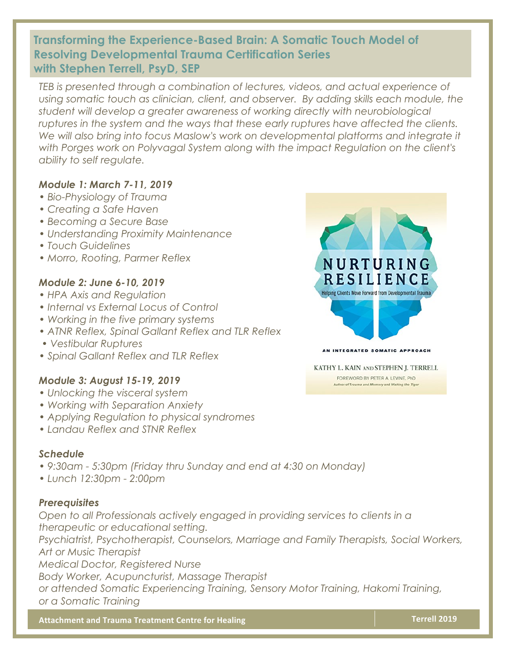## **Transforming the Experience-Based Brain: A Somatic Touch Model of Resolving Developmental Trauma Certification Series with Stephen Terrell, PsyD, SEP**

*TEB is presented through a combination of lectures, videos, and actual experience of using somatic touch as clinician, client, and observer. By adding skills each module, the student will develop a greater awareness of working directly with neurobiological ruptures in the system and the ways that these early ruptures have affected the clients.*  We will also bring into focus Maslow's work on developmental platforms and integrate it *with Porges work on Polyvagal System along with the impact Regulation on the client's ability to self regulate.*

### *Module 1: March 7-11, 2019*

- *Bio-Physiology of Trauma*
- *Creating a Safe Haven*
- *Becoming a Secure Base*
- *Understanding Proximity Maintenance*
- *Touch Guidelines*
- *Morro, Rooting, Parmer Reflex*

### *Module 2: June 6-10, 2019*

- *HPA Axis and Regulation*
- *Internal vs External Locus of Control*
- *Working in the five primary systems*
- *ATNR Reflex, Spinal Gallant Reflex and TLR Reflex*
- *Vestibular Ruptures*
- *Spinal Gallant Reflex and TLR Reflex*

#### *Module 3: August 15-19, 2019*

- *Unlocking the visceral system*
- *Working with Separation Anxiety*
- *Applying Regulation to physical syndromes*
- *Landau Reflex and STNR Reflex*

#### *Schedule*

- *9:30am 5:30pm (Friday thru Sunday and end at 4:30 on Monday)*
- **Attachment Exception Conference** *• Lunch 12:30pm - 2:00pm*

#### *Prerequisites*

*Open to all Professionals actively engaged in providing services to clients in a therapeutic or educational setting.* 

*Psychiatrist, Psychotherapist, Counselors, Marriage and Family Therapists, Social Workers, Art or Music Therapist* 

*Medical Doctor, Registered Nurse*

*Body Worker, Acupuncturist, Massage Therapist* 

*or attended Somatic Experiencing Training, Sensory Motor Training, Hakomi Training, or a Somatic Training* 

**Attachment and Trauma Treatment Centre for Healing <b>Team Communisty Communisty Communisty** Terrell 2019



#### AN INTEGRATED SOMATIC APPROACH

KATHY L. KAIN AND STEPHEN J. TERRELL

FOREWORD BY PETER A. LEVINE, PhD Author of Trauma and Memory and Waking the Tiger